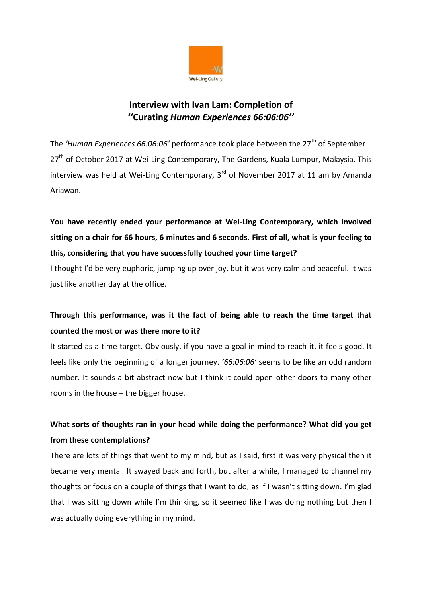

#### **Interview with Ivan Lam: Completion of ''Curating** *Human Experiences 66:06:06''*

The 'Human Experiences 66:06:06' performance took place between the 27<sup>th</sup> of September – 27<sup>th</sup> of October 2017 at Wei-Ling Contemporary, The Gardens, Kuala Lumpur, Malaysia. This interview was held at Wei-Ling Contemporary,  $3<sup>rd</sup>$  of November 2017 at 11 am by Amanda Ariawan.

**You have recently ended your performance at Wei-Ling Contemporary, which involved sitting on a chair for 66 hours, 6 minutes and 6 seconds. First of all, what is your feeling to this, considering that you have successfully touched your time target?**

I thought I'd be very euphoric, jumping up over joy, but it was very calm and peaceful. It was just like another day at the office.

# **Through this performance, was it the fact of being able to reach the time target that counted the most or was there more to it?**

It started as a time target. Obviously, if you have a goal in mind to reach it, it feels good. It feels like only the beginning of a longer journey. *'66:06:06'* seems to be like an odd random number. It sounds a bit abstract now but I think it could open other doors to many other rooms in the house – the bigger house.

# **What sorts of thoughts ran in your head while doing the performance? What did you get from these contemplations?**

There are lots of things that went to my mind, but as I said, first it was very physical then it became very mental. It swayed back and forth, but after a while, I managed to channel my thoughts or focus on a couple of things that I want to do, as if I wasn't sitting down. I'm glad that I was sitting down while I'm thinking, so it seemed like I was doing nothing but then I was actually doing everything in my mind.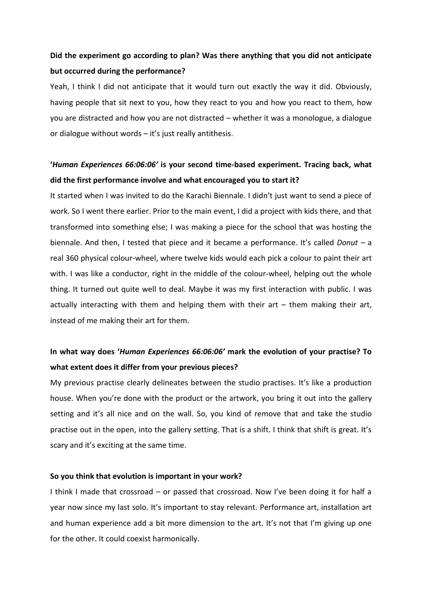#### **Did the experiment go according to plan? Was there anything that you did not anticipate but occurred during the performance?**

Yeah, I think I did not anticipate that it would turn out exactly the way it did. Obviously, having people that sit next to you, how they react to you and how you react to them, how you are distracted and how you are not distracted – whether it was a monologue, a dialogue or dialogue without words – it's just really antithesis.

#### **'***Human Experiences 66:06:06'* **is your second time-based experiment. Tracing back, what did the first performance involve and what encouraged you to start it?**

It started when I was invited to do the Karachi Biennale. I didn't just want to send a piece of work. So I went there earlier. Prior to the main event, I did a project with kids there, and that transformed into something else; I was making a piece for the school that was hosting the biennale. And then, I tested that piece and it became a performance. It's called *Donut –* a real 360 physical colour-wheel, where twelve kids would each pick a colour to paint their art with. I was like a conductor, right in the middle of the colour-wheel, helping out the whole thing. It turned out quite well to deal. Maybe it was my first interaction with public. I was actually interacting with them and helping them with their art  $-$  them making their art, instead of me making their art for them.

## **In what way does '***Human Experiences 66:06:06'* **mark the evolution of your practise? To what extent does it differ from your previous pieces?**

My previous practise clearly delineates between the studio practises. It's like a production house. When you're done with the product or the artwork, you bring it out into the gallery setting and it's all nice and on the wall. So, you kind of remove that and take the studio practise out in the open, into the gallery setting. That is a shift. I think that shift is great. It's scary and it's exciting at the same time.

#### **So you think that evolution is important in your work?**

I think I made that crossroad – or passed that crossroad. Now I've been doing it for half a year now since my last solo. It's important to stay relevant. Performance art, installation art and human experience add a bit more dimension to the art. It's not that I'm giving up one for the other. It could coexist harmonically.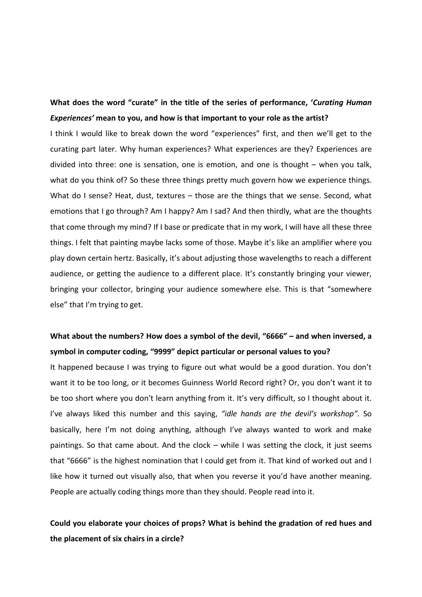### **What does the word "curate" in the title of the series of performance, '***Curating Human Experiences'* **mean to you, and how is that important to your role as the artist?**

I think I would like to break down the word "experiences" first, and then we'll get to the curating part later. Why human experiences? What experiences are they? Experiences are divided into three: one is sensation, one is emotion, and one is thought – when you talk, what do you think of? So these three things pretty much govern how we experience things. What do I sense? Heat, dust, textures – those are the things that we sense. Second, what emotions that I go through? Am I happy? Am I sad? And then thirdly, what are the thoughts that come through my mind? If I base or predicate that in my work, I will have all these three things. I felt that painting maybe lacks some of those. Maybe it's like an amplifier where you play down certain hertz. Basically, it's about adjusting those wavelengths to reach a different audience, or getting the audience to a different place. It's constantly bringing your viewer, bringing your collector, bringing your audience somewhere else. This is that "somewhere else" that I'm trying to get.

#### **What about the numbers? How does a symbol of the devil, "6666" – and when inversed, a symbol in computer coding, "9999" depict particular or personal values to you?**

It happened because I was trying to figure out what would be a good duration. You don't want it to be too long, or it becomes Guinness World Record right? Or, you don't want it to be too short where you don't learn anything from it. It's very difficult, so I thought about it. I've always liked this number and this saying, *"idle hands are the devil's workshop".* So basically, here I'm not doing anything, although I've always wanted to work and make paintings. So that came about. And the clock – while I was setting the clock, it just seems that "6666" is the highest nomination that I could get from it. That kind of worked out and I like how it turned out visually also, that when you reverse it you'd have another meaning. People are actually coding things more than they should. People read into it.

### **Could you elaborate your choices of props? What is behind the gradation of red hues and the placement of six chairs in a circle?**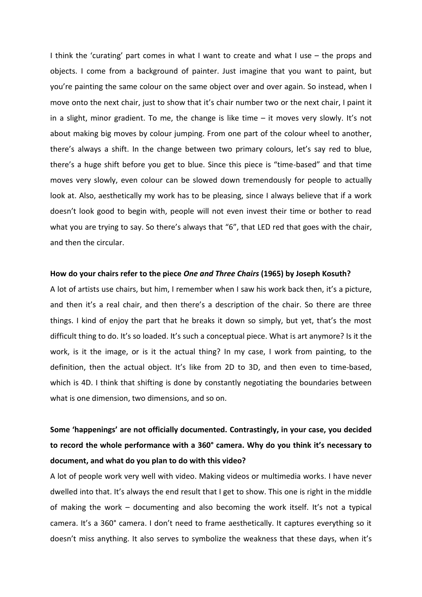I think the 'curating' part comes in what I want to create and what I use – the props and objects. I come from a background of painter. Just imagine that you want to paint, but you're painting the same colour on the same object over and over again. So instead, when I move onto the next chair, just to show that it's chair number two or the next chair, I paint it in a slight, minor gradient. To me, the change is like time – it moves very slowly. It's not about making big moves by colour jumping. From one part of the colour wheel to another, there's always a shift. In the change between two primary colours, let's say red to blue, there's a huge shift before you get to blue. Since this piece is "time-based" and that time moves very slowly, even colour can be slowed down tremendously for people to actually look at. Also, aesthetically my work has to be pleasing, since I always believe that if a work doesn't look good to begin with, people will not even invest their time or bother to read what you are trying to say. So there's always that "6", that LED red that goes with the chair, and then the circular.

#### **How do your chairs refer to the piece** *One and Three Chairs* **(1965) by Joseph Kosuth?**

A lot of artists use chairs, but him, I remember when I saw his work back then, it's a picture, and then it's a real chair, and then there's a description of the chair. So there are three things. I kind of enjoy the part that he breaks it down so simply, but yet, that's the most difficult thing to do. It's so loaded. It's such a conceptual piece. What is art anymore? Is it the work, is it the image, or is it the actual thing? In my case, I work from painting, to the definition, then the actual object. It's like from 2D to 3D, and then even to time-based, which is 4D. I think that shifting is done by constantly negotiating the boundaries between what is one dimension, two dimensions, and so on.

# **Some 'happenings' are not officially documented. Contrastingly, in your case, you decided to record the whole performance with a 360° camera. Why do you think it's necessary to document, and what do you plan to do with this video?**

A lot of people work very well with video. Making videos or multimedia works. I have never dwelled into that. It's always the end result that I get to show. This one is right in the middle of making the work – documenting and also becoming the work itself. It's not a typical camera. It's a 360° camera. I don't need to frame aesthetically. It captures everything so it doesn't miss anything. It also serves to symbolize the weakness that these days, when it's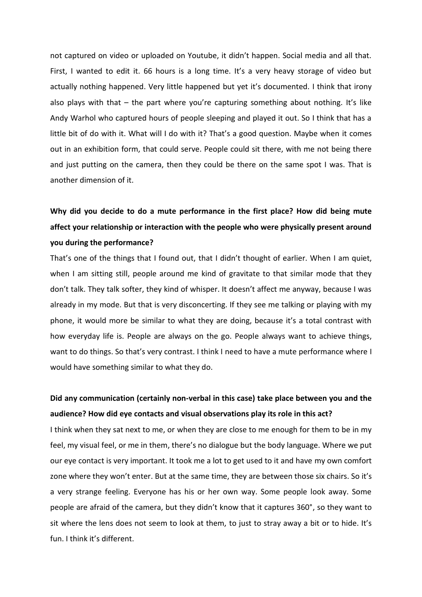not captured on video or uploaded on Youtube, it didn't happen. Social media and all that. First, I wanted to edit it. 66 hours is a long time. It's a very heavy storage of video but actually nothing happened. Very little happened but yet it's documented. I think that irony also plays with that – the part where you're capturing something about nothing. It's like Andy Warhol who captured hours of people sleeping and played it out. So I think that has a little bit of do with it. What will I do with it? That's a good question. Maybe when it comes out in an exhibition form, that could serve. People could sit there, with me not being there and just putting on the camera, then they could be there on the same spot I was. That is another dimension of it.

# **Why did you decide to do a mute performance in the first place? How did being mute affect your relationship or interaction with the people who were physically present around you during the performance?**

That's one of the things that I found out, that I didn't thought of earlier. When I am quiet, when I am sitting still, people around me kind of gravitate to that similar mode that they don't talk. They talk softer, they kind of whisper. It doesn't affect me anyway, because I was already in my mode. But that is very disconcerting. If they see me talking or playing with my phone, it would more be similar to what they are doing, because it's a total contrast with how everyday life is. People are always on the go. People always want to achieve things, want to do things. So that's very contrast. I think I need to have a mute performance where I would have something similar to what they do.

### **Did any communication (certainly non-verbal in this case) take place between you and the audience? How did eye contacts and visual observations play its role in this act?**

I think when they sat next to me, or when they are close to me enough for them to be in my feel, my visual feel, or me in them, there's no dialogue but the body language. Where we put our eye contact is very important. It took me a lot to get used to it and have my own comfort zone where they won't enter. But at the same time, they are between those six chairs. So it's a very strange feeling. Everyone has his or her own way. Some people look away. Some people are afraid of the camera, but they didn't know that it captures 360°, so they want to sit where the lens does not seem to look at them, to just to stray away a bit or to hide. It's fun. I think it's different.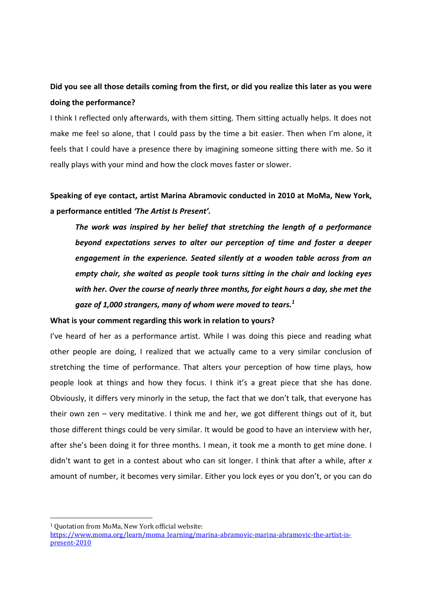## **Did you see all those details coming from the first, or did you realize this later as you were doing the performance?**

I think I reflected only afterwards, with them sitting. Them sitting actually helps. It does not make me feel so alone, that I could pass by the time a bit easier. Then when I'm alone, it feels that I could have a presence there by imagining someone sitting there with me. So it really plays with your mind and how the clock moves faster or slower.

**Speaking of eye contact, artist Marina Abramovic conducted in 2010 at MoMa, New York, a performance entitled** *'The Artist Is Present'.* 

*The work was inspired by her belief that stretching the length of a performance beyond expectations serves to alter our perception of time and foster a deeper engagement in the experience. Seated silently at a wooden table across from an empty chair, she waited as people took turns sitting in the chair and locking eyes with her. Over the course of nearly three months, for eight hours a day, she met the gaze of 1,000 strangers, many of whom were moved to tears.<sup>1</sup>*

#### **What is your comment regarding this work in relation to yours?**

I've heard of her as a performance artist. While I was doing this piece and reading what other people are doing, I realized that we actually came to a very similar conclusion of stretching the time of performance. That alters your perception of how time plays, how people look at things and how they focus. I think it's a great piece that she has done. Obviously, it differs very minorly in the setup, the fact that we don't talk, that everyone has their own zen – very meditative. I think me and her, we got different things out of it, but those different things could be very similar. It would be good to have an interview with her, after she's been doing it for three months. I mean, it took me a month to get mine done. I didn't want to get in a contest about who can sit longer. I think that after a while, after *x*  amount of number, it becomes very similar. Either you lock eyes or you don't, or you can do

 $\overline{a}$ 

<sup>1</sup> Quotation from MoMa, New York official website:

[https://www.moma.org/learn/moma\\_learning/marina-abramovic-marina-abramovic-the-artist-is](https://www.moma.org/learn/moma_learning/marina-abramovic-marina-abramovic-the-artist-is-present-2010)[present-2010](https://www.moma.org/learn/moma_learning/marina-abramovic-marina-abramovic-the-artist-is-present-2010)